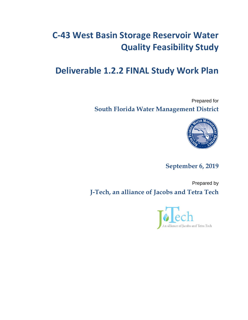# **C-43 West Basin Storage Reservoir Water Quality Feasibility Study**

# **Deliverable 1.2.2 FINAL Study Work Plan**

Prepared for **South Florida Water Management District** 



**September 6, 2019**

Prepared by **J-Tech, an alliance of Jacobs and Tetra Tech** 

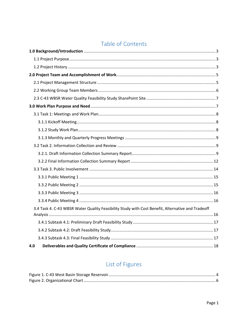## Table of Contents

| 3.4 Task 4. C-43 WBSR Water Quality Feasibility Study with Cost Benefit, Alternative and Tradeoff |  |
|---------------------------------------------------------------------------------------------------|--|
|                                                                                                   |  |
|                                                                                                   |  |
|                                                                                                   |  |
|                                                                                                   |  |
| 4.0                                                                                               |  |

## List of Figures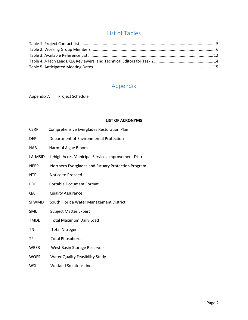## List of Tables

## Appendix

Appendix A Project Schedule

#### **LIST OF ACRONYMS**

| <b>CERP</b>  | Comprehensive Everglades Restoration Plan            |
|--------------|------------------------------------------------------|
| <b>DEP</b>   | Department of Environmental Protection               |
| <b>HAB</b>   | Harmful Algae Bloom                                  |
| LA-MSID      | Lehigh Acres Municipal Services Improvement District |
| <b>NEEP</b>  | Northern Everglades and Estuary Protection Program   |
| <b>NTP</b>   | Notice to Proceed                                    |
| <b>PDF</b>   | <b>Portable Document Format</b>                      |
| QA           | <b>Quality Assurance</b>                             |
| <b>SFWMD</b> | South Florida Water Management District              |
| <b>SME</b>   | <b>Subject Matter Expert</b>                         |
| <b>TMDL</b>  | <b>Total Maximum Daily Load</b>                      |
| TN           | <b>Total Nitrogen</b>                                |
| TP           | <b>Total Phosphorus</b>                              |
| <b>WBSR</b>  | West Basin Storage Reservoir                         |
| <b>WQFS</b>  | <b>Water Quality Feasibility Study</b>               |
|              |                                                      |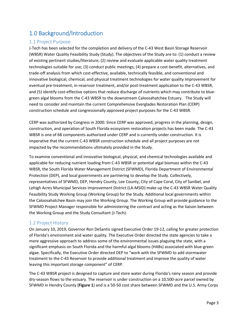## <span id="page-3-0"></span>1.0 Background/Introduction

#### <span id="page-3-1"></span>1.1 Project Purpose

J-Tech has been selected for the completion and delivery of the C-43 West Basin Storage Reservoir (WBSR) Water Quality Feasibility Study (Study). The objectives of the Study are to: (1) conduct a review of existing pertinent studies/literature; (2) review and evaluate applicable water quality treatment technologies suitable for use; (3) conduct public meetings; (4) prepare a cost-benefit, alternatives, and trade-off analysis from which cost-effective, available, technically feasible, and conventional and innovative biological, chemical, and physical treatment technologies for water quality improvement for eventual pre-treatment, in-reservoir treatment, and/or post-treatment application to the C-43 WBSR, and (5) identify cost-effective options that reduce discharge of nutrients which may contribute to bluegreen algal blooms from the C-43 WBSR to the downstream Caloosahatchee Estuary. The Study will need to consider and maintain the current Comprehensive Everglades Restoration Plan (CERP) construction schedule and congressionally approved project purposes for the C-43 WBSR.

CERP was authorized by Congress in 2000. Since CERP was approved, progress in the planning, design, construction, and operation of South Florida ecosystem restoration projects has been made. The C-43 WBSR is one of 68 components authorized under CERP and is currently under construction. It is imperative that the current C-43 WBSR construction schedule and all project purposes are not impacted by the recommendations ultimately provided in the Study.

To examine conventional and innovative biological, physical, and chemical technologies available and applicable for reducing nutrient loading from C-43 WBSR or potential algal biomass within the C-43 WBSR, the South Florida Water Management District (SFWMD), Florida Department of Environmental Protection (DEP), and local governments are partnering to develop the Study. Collectively, representatives of SFWMD, DEP, Hendry County, Lee County, City of Cape Coral, City of Sanibel, and Lehigh Acres Municipal Services Improvement District (LA-MSID) make up the C-43 WBSR Water Quality Feasibility Study Working Group (Working Group) for the Study. Additional local governments within the Caloosahatchee Basin may join the Working Group. The Working Group will provide guidance to the SFWMD Project Manager responsible for administering the contract and acting as the liaison between the Working Group and the Study Consultant (J-Tech).

#### <span id="page-3-2"></span>1.2 Project History

On January 10, 2019, Governor Ron DeSantis signed Executive Order 19-12, calling for greater protection of Florida's environment and water quality. The Executive Order directed the state agencies to take a more aggressive approach to address some of the environmental issues plaguing the state, with a significant emphasis on South Florida and the harmful algal blooms (HABs) associated with blue-green algae. Specifically, the Executive Order directed DEP to "work with the SFWMD to add stormwater treatment to the C-43 Reservoir to provide additional treatment and improve the quality of water leaving this important storage component" of CERP.

The C-43 WBSR project is designed to capture and store water during Florida's rainy season and provide dry-season flows to the estuary. The reservoir is under construction on a 10,500-acre parcel owned by SFWMD in Hendry County (**[Figure 1](#page-4-0)**) and is a 50-50 cost share between SFWMD and the U.S. Army Corps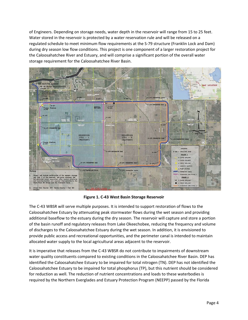of Engineers. Depending on storage needs, water depth in the reservoir will range from 15 to 25 feet. Water stored in the reservoir is protected by a water reservation rule and will be released on a regulated schedule to meet minimum flow requirements at the S-79 structure (Franklin Lock and Dam) during dry season low flow conditions. This project is one component of a larger restoration project for the Caloosahatchee River and Estuary, and will comprise a significant portion of the overall water storage requirement for the Caloosahatchee River Basin.



**Figure 1. C-43 West Basin Storage Reservoir** 

<span id="page-4-0"></span>The C-43 WBSR will serve multiple purposes. It is intended to support restoration of flows to the Caloosahatchee Estuary by attenuating peak stormwater flows during the wet season and providing additional baseflow to the estuary during the dry season. The reservoir will capture and store a portion of the basin runoff and regulatory releases from Lake Okeechobee, reducing the frequency and volume of discharges to the Caloosahatchee Estuary during the wet season. In addition, it is envisioned to provide public access and recreational opportunities, and the perimeter canal is intended to maintain allocated water supply to the local agricultural areas adjacent to the reservoir.

It is imperative that releases from the C-43 WBSR do not contribute to impairments of downstream water quality constituents compared to existing conditions in the Caloosahatchee River Basin. DEP has identified the Caloosahatchee Estuary to be impaired for total nitrogen (TN). DEP has not identified the Caloosahatchee Estuary to be impaired for total phosphorus (TP), but this nutrient should be considered for reduction as well. The reduction of nutrient concentrations and loads to these waterbodies is required by the Northern Everglades and Estuary Protection Program (NEEPP) passed by the Florida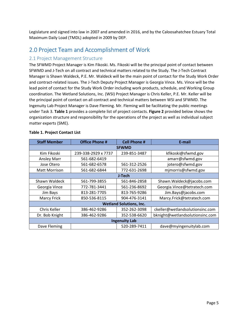Legislature and signed into law in 2007 and amended in 2016, and by the Caloosahatchee Estuary Total Maximum Daily Load (TMDL) adopted in 2009 by DEP.

## <span id="page-5-0"></span>2.0 Project Team and Accomplishment of Work

#### <span id="page-5-1"></span>2.1 Project Management Structure

The SFWMD Project Manager is Kim Fikoski. Ms. Fikoski will be the principal point of contact between SFWMD and J-Tech on all contract and technical matters related to the Study. The J-Tech Contract Manager is Shawn Waldeck, P.E. Mr. Waldeck will be the main point of contact for the Study Work Order and contract-related issues. The J-Tech Deputy Project Manager is Georgia Vince. Ms. Vince will be the lead point of contact for the Study Work Order including work products, schedule, and Working Group coordination. The Wetland Solutions, Inc. (WSI) Project Manager is Chris Keller, P.E. Mr. Keller will be the principal point of contact on all contract and technical matters between WSI and SFWMD. The Ingenuity Lab Project Manager is Dave Fleming. Mr. Fleming will be facilitating the public meetings under Task 3. **[Table 1](#page-5-2)** provides a complete list of project contacts. **[Figure 2](#page-6-1)** provided below shows the organization structure and responsibility for the operations of the project as well as individual subject matter experts (SME).

| <b>Staff Member</b>                                     | <b>Office Phone #</b> | <b>Cell Phone #</b>            | E-mail                          |  |  |  |
|---------------------------------------------------------|-----------------------|--------------------------------|---------------------------------|--|--|--|
| <b>SFWMD</b>                                            |                       |                                |                                 |  |  |  |
| Kim Fikoski                                             | 239-338-2929 x 7737   | 239-851-3487                   | kfikoski@sfwmd.gov              |  |  |  |
| <b>Ansley Marr</b>                                      | 561-682-6419          |                                | amarr@sfwmd.gov                 |  |  |  |
| Jose Otero                                              | 561-682-6578          | 561-312-2526                   | jotero@sfwmd.gov                |  |  |  |
| <b>Matt Morrison</b>                                    | 561-682-6844          | 772-631-2698                   | mjmorris@sfwmd.gov              |  |  |  |
|                                                         |                       | J-Tech                         |                                 |  |  |  |
| Shawn Waldeck                                           | 561-799-3855          | 561-846-2858                   | Shawn.Waldeck@jacobs.com        |  |  |  |
| Georgia Vince                                           | 772-781-3441          | 561-236-8692                   | Georgia.Vince@tetratech.com     |  |  |  |
| Jim Bays                                                | 813-281-7705          | 813-765-9286                   | Jim.Bays@jacobs.com             |  |  |  |
| <b>Marcy Frick</b>                                      | 850-536-8115          | 904-476-3141                   | Marcy.Frick@tetratech.com       |  |  |  |
|                                                         |                       | <b>Wetland Solutions, Inc.</b> |                                 |  |  |  |
| Chris Keller                                            | 386-462-9286          | 352-262-3098                   | ckeller@wetlandsolutionsinc.com |  |  |  |
| Dr. Bob Knight                                          | 386-462-9286          | 352-538-6620                   | bknight@wetlandsolutionsinc.com |  |  |  |
| <b>Ingenuity Lab</b>                                    |                       |                                |                                 |  |  |  |
| Dave Fleming<br>520-289-7411<br>dave@myingenuitylab.com |                       |                                |                                 |  |  |  |

#### <span id="page-5-2"></span>**Table 1. Project Contact List**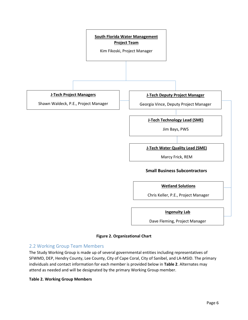

#### **Figure 2. Organizational Chart**

#### <span id="page-6-1"></span><span id="page-6-0"></span>2.2 Working Group Team Members

The Study Working Group is made up of several governmental entities including representatives of SFWMD, DEP, Hendry County, Lee County, City of Cape Coral, City of Sanibel, and LA-MSID. The primary individuals and contact information for each member is provided below in **[Table 2](#page-6-2)**. Alternates may attend as needed and will be designated by the primary Working Group member.

#### <span id="page-6-2"></span>**Table 2. Working Group Members**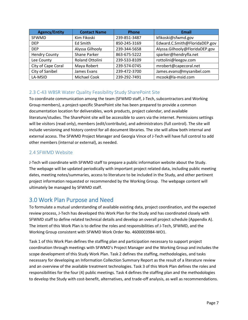| <b>Agency/Entity</b> | <b>Contact Name</b> | <b>Phone</b> | Email                          |
|----------------------|---------------------|--------------|--------------------------------|
| <b>SFWMD</b>         | Kim Fikoski         | 239-851-3487 | kfikoski@sfwmd.gov             |
| <b>DEP</b>           | Ed Smith            | 850-245-3169 | Edward.C.Smith@FloridaDEP.gov  |
| <b>DEP</b>           | Alyssa Gilhooly     | 239-344-5658 | Alyssa.Gilhooly@FloridaDEP.gov |
| <b>Hendry County</b> | Shane Parker        | 863-675-5222 | sparker@hendryfla.net          |
| Lee County           | Roland Ottolini     | 239-533-8109 | rottolini@leegov.com           |
| City of Cape Coral   | Maya Robert         | 239-574-0745 | mrobert@capecoral.net          |
| City of Sanibel      | James Evans         | 239-472-3700 | James.evans@mysanibel.com      |
| LA-MSID              | <b>Michael Cook</b> | 239-292-7491 | mcook@la-msid.com              |

#### <span id="page-7-0"></span>2.3 C-43 WBSR Water Quality Feasibility Study SharePoint Site

To coordinate communication among the team (SFWMD staff, J-Tech, subcontractors and Working Group members), a project-specific SharePoint site has been prepared to provide a common documentation location for deliverables, work products, project calendar, and available literature/studies. The SharePoint site will be accessible to users via the internet. Permissions settings will be visitors (read only), members (edit/contribute), and administrators (full control). The site will include versioning and history control for all document libraries. The site will allow both internal and external access. The SFWMD Project Manager and Georgia Vince of J-Tech will have full control to add other members (internal or external), as needed.

#### 2.4 SFWMD Website

J-Tech will coordinate with SFWMD staff to prepare a public information website about the Study. The webpage will be updated periodically with important project related data, including public meeting dates, meeting notes/summaries, access to literature to be included in the Study, and other pertinent project information requested or recommended by the Working Group. The webpage content will ultimately be managed by SFWMD staff.

### <span id="page-7-1"></span>3.0 Work Plan Purpose and Need

To formulate a mutual understanding of available existing data, project coordination, and the expected review process, J-Tech has developed this Work Plan for the Study and has coordinated closely with SFWMD staff to define related technical details and develop an overall project schedule (Appendix A). The intent of this Work Plan is to define the roles and responsibilities of J-Tech, SFWMD, and the Working Group consistent with SFWMD Work Order No. 4600003984-WO1.

Task 1 of this Work Plan defines the staffing plan and participation necessary to support project coordination through meetings with SFWMD's Project Manager and the Working Group and includes the scope development of this Study Work Plan. Task 2 defines the staffing, methodologies, and tasks necessary for developing an Information Collection Summary Report as the result of a literature review and an overview of the available treatment technologies. Task 3 of this Work Plan defines the roles and responsibilities for the four (4) public meetings. Task 4 defines the staffing plan and the methodologies to develop the Study with cost-benefit, alternatives, and trade-off analysis, as well as recommendations.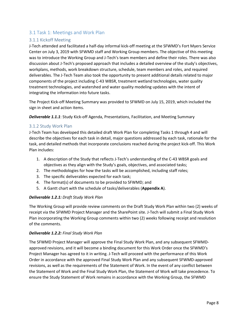#### <span id="page-8-0"></span>3.1 Task 1: Meetings and Work Plan

#### <span id="page-8-1"></span>3.1.1 Kickoff Meeting

J-Tech attended and facilitated a half-day informal kick-off meeting at the SFWMD's Fort Myers Service Center on July 3, 2019 with SFWMD staff and Working Group members. The objective of this meeting was to introduce the Working Group and J-Tech's team members and define their roles. There was also discussion about J-Tech's proposed approach that includes a detailed overview of the study's objectives, workplans, methods, work breakdown structure, schedule, team members and roles, and required deliverables. The J-Tech Team also took the opportunity to present additional details related to major components of the project including C-43 WBSR, treatment wetland technologies, water quality treatment technologies, and watershed and water quality modeling updates with the intent of integrating the information into future tasks.

The Project Kick-off Meeting Summary was provided to SFWMD on July 15, 2019, which included the sign in sheet and action items.

*Deliverable 1.1.1*: Study Kick-off Agenda, Presentations, Facilitation, and Meeting Summary

#### <span id="page-8-2"></span>3.1.2 Study Work Plan

J-Tech Team has developed this detailed draft Work Plan for completing Tasks 1 through 4 and will describe the objectives for each task in detail, major questions addressed by each task, rationale for the task, and detailed methods that incorporate conclusions reached during the project kick-off. This Work Plan includes:

- 1. A description of the Study that reflects J-Tech's understanding of the C-43 WBSR goals and objectives as they align with the Study's goals, objectives, and associated tasks;
- 2. The methodologies for how the tasks will be accomplished, including staff roles;
- 3. The specific deliverables expected for each task;
- 4. The format(s) of documents to be provided to SFWMD; and
- 5. A Gantt chart with the schedule of tasks/deliverables (**Appendix A**).

#### *Deliverable 1.2.1: Draft Study Work Plan*

The Working Group will provide review comments on the Draft Study Work Plan within two (2) weeks of receipt via the SFWMD Project Manager and the SharePoint site. J-Tech will submit a Final Study Work Plan incorporating the Working Group comments within two (2) weeks following receipt and resolution of the comments.

#### *Deliverable 1.2.2: Final Study Work Plan*

The SFWMD Project Manager will approve the Final Study Work Plan, and any subsequent SFWMDapproved revisions, and it will become a binding document for this Work Order once the SFWMD's Project Manager has agreed to it in writing. J-Tech will proceed with the performance of this Work Order in accordance with the approved Final Study Work Plan and any subsequent SFWMD-approved revisions, as well as the requirements of the Statement of Work. In the event of any conflict between the Statement of Work and the Final Study Work Plan, the Statement of Work will take precedence. To ensure the Study Statement of Work remains in accordance with the Working Group, the SFWMD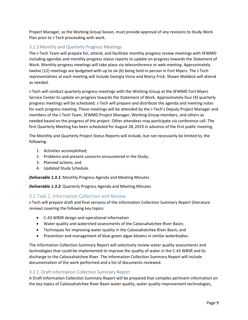Project Manager, as the Working Group liaison, must provide approval of any revisions to Study Work Plan prior to J-Tech proceeding with work.

#### <span id="page-9-0"></span>3.1.3 Monthly and Quarterly Progress Meetings

The J-Tech Team will prepare for, attend, and facilitate monthly progress review meetings with SFWMD including agendas and monthly progress status reports to update on progress towards the Statement of Work. Monthly progress meetings will take place via teleconference or web meeting. Approximately twelve (12) meetings are budgeted with up to six (6) being held in-person in Fort Myers. The J-Tech representatives at each meeting will include Georgia Vince and Marcy Frick. Shawn Waldeck will attend as needed.

J-Tech will conduct quarterly progress meetings with the Working Group at the SFWMD Fort Myers Service Center to update on progress towards the Statement of Work. Approximately four (4) quarterly progress meetings will be scheduled. J-Tech will prepare and distribute the agenda and meeting notes for each progress meeting. These meetings will be attended by the J-Tech's Deputy Project Manager and members of the J-Tech Team, SFWMD Project Manager, Working Group members, and others as needed based on the progress of the project. Other attendees may participate via conference call. The first Quarterly Meeting has been scheduled for August 28, 2019 in advance of the first public meeting.

The Monthly and Quarterly Project Status Reports will include, but not necessarily be limited to, the following:

- 1. Activities accomplished;
- 2. Problems and present concerns encountered in the Study;
- 3. Planned actions; and
- 4. Updated Study Schedule.

*Deliverable 1.3.1:* Monthly Progress Agenda and Meeting Minutes

*Deliverable 1.3.2:* Quarterly Progress Agenda and Meeting Minutes

#### <span id="page-9-1"></span>3.2 Task 2. Information Collection and Review

J-Tech will prepare draft and final versions of the Information Collection Summary Report (literature review) covering the following key topics:

- C-43 WBSR design and operational information
- Water quality and watershed assessments of the Caloosahatchee River Basin;
- Techniques for improving water quality in the Caloosahatchee River Basin; and
- Prevention and management of blue-green algae blooms in similar waterbodies.

The Information Collection Summary Report will selectively review water quality assessments and technologies that could be implemented to improve the quality of water in the C-43 WBSR and its discharge to the Caloosahatchee River. The Information Collection Summary Report will include documentation of the work performed and a list of documents reviewed.

#### <span id="page-9-2"></span>3.2.1. Draft Information Collection Summary Report

A Draft Information Collection Summary Report will be prepared that compiles pertinent information on the key topics of Caloosahatchee River Basin water quality, water quality improvement technologies,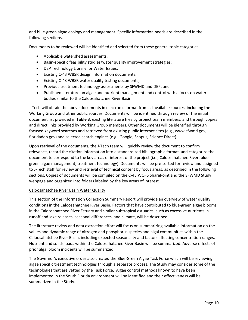and blue-green algae ecology and management. Specific information needs are described in the following sections.

Documents to be reviewed will be identified and selected from these general topic categories:

- Applicable watershed assessments;
- Basin-specific feasibility studies/water quality improvement strategies;
- DEP Technology Library for Water Issues;
- Existing C-43 WBSR design information documents;
- Existing C-43 WBSR water quality testing documents;
- Previous treatment technology assessments by SFWMD and DEP; and
- Published literature on algae and nutrient management and control with a focus on water bodies similar to the Caloosahatchee River Basin.

J-Tech will obtain the above documents in electronic format from all available sources, including the Working Group and other public sources. Documents will be identified through review of the initial document list provided in **[Table 3](#page-12-1)**, existing literature files by project team members, and through copies and direct links provided by Working Group members. Other documents will be identified through focused keyword searches and retrieved from existing public internet sites (e.g., www.sfwmd.gov, floridadep.gov) and selected search engines (e.g., Google, Scopus, Science Direct).

Upon retrieval of the documents, the J-Tech team will quickly review the document to confirm relevance, record the citation information into a standardized bibliographic format, and categorize the document to correspond to the key areas of interest of the project (i.e., Caloosahatchee River, bluegreen algae management, treatment technology). Documents will be pre-sorted for review and assigned to J-Tech staff for review and retrieval of technical content by focus areas, as described in the following sections. Copies of documents will be compiled on the C-43 WQFS SharePoint and the SFWMD Study webpage and organized into folders labeled by the key areas of interest.

#### Caloosahatchee River Basin Water Quality

This section of the Information Collection Summary Report will provide an overview of water quality conditions in the Caloosahatchee River Basin. Factors that have contributed to blue-green algae blooms in the Caloosahatchee River Estuary and similar subtropical estuaries, such as excessive nutrients in runoff and lake releases, seasonal differences, and climate, will be described.

The literature review and data extraction effort will focus on summarizing available information on the values and dynamic range of nitrogen and phosphorus species and algal communities within the Caloosahatchee River Basin, including expected seasonality and factors affecting concentration ranges. Nutrient and solids loads within the Caloosahatchee River Basin will be summarized. Adverse effects of prior algal bloom incidents will be summarized.

The Governor's executive order also created the Blue-Green Algae Task Force which will be reviewing algae specific treatment technologies through a separate process. The Study may consider some of the technologies that are vetted by the Task Force. Algae control methods known to have been implemented in the South Florida environment will be identified and their effectiveness will be summarized in the Study.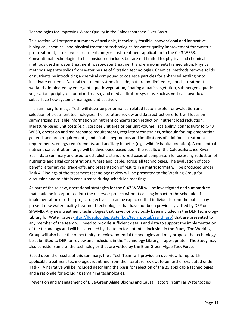#### Technologies for Improving Water Quality in the Caloosahatchee River Basin

This section will prepare a summary of available, technically feasible, conventional and innovative biological, chemical, and physical treatment technologies for water quality improvement for eventual pre-treatment, in-reservoir treatment, and/or post-treatment application to the C-43 WBSR. Conventional technologies to be considered include, but are not limited to, physical and chemical methods used in water treatment, wastewater treatment, and environmental remediation. Physical methods separate solids from water by use of filtration technologies. Chemical methods remove solids or nutrients by introducing a chemical compound to coalesce particles for enhanced settling or to inactivate nutrients. Natural treatment systems include, but are not limited to, ponds; treatment wetlands dominated by emergent aquatic vegetation, floating aquatic vegetation, submerged aquatic vegetation, periphyton, or mixed marsh; and media filtration systems, such as vertical downflow subsurface flow systems (managed and passive).

In a summary format, J-Tech will describe performance-related factors useful for evaluation and selection of treatment technologies. The literature review and data extraction effort will focus on summarizing available information on nutrient concentration reduction, nutrient load reduction, literature-based unit costs (e.g., cost per unit area or per unit volume), scalability, connectivity to C-43 WBSR, operation and maintenance requirements, regulatory constraints, schedule for implementation, general land area requirements, undesirable byproducts and implications of additional treatment requirements, energy requirements, and ancillary benefits (e.g., wildlife habitat creation). A conceptual nutrient concentration range will be developed based upon the results of the Caloosahatchee River Basin data summary and used to establish a standardized basis of comparison for assessing reduction of nutrients and algal concentrations, where applicable, across all technologies. The evaluation of costbenefit, alternatives, trade-offs, and presentation of results in a matrix format will be produced under Task 4. Findings of the treatment technology review will be presented to the Working Group for discussion and to obtain concurrence during scheduled meetings.

As part of the review, operational strategies for the C-43 WBSR will be investigated and summarized that could be incorporated into the reservoir project without causing impact to the schedule of implementation or other project objectives. It can be expected that individuals from the public may present new water quality treatment technologies that have not been previously vetted by DEP or SFWMD. Any new treatment technologies that have *not* previously been included in the DEP Technology Library for Water issues [\(http://fldeploc.dep.state.fl.us/tech\\_portal/search.asp\)](http://fldeploc.dep.state.fl.us/tech_portal/search.asp) that are presented to any member of the team will need to provide sufficient details and data to support the implementation of the technology and will be screened by the team for potential inclusion in the Study. The Working Group will also have the opportunity to review potential technologies and may propose the technology be submitted to DEP for review and inclusion, in the Technology Library, if appropriate. The Study may also consider some of the technologies that are vetted by the Blue-Green Algae Task Force.

Based upon the results of this summary, the J-Tech Team will provide an overview for up to 25 applicable treatment technologies identified from the literature review, to be further evaluated under Task 4. A narrative will be included describing the basis for selection of the 25 applicable technologies and a rationale for excluding remaining technologies.

Prevention and Management of Blue-Green Algae Blooms and Causal Factors in Similar Waterbodies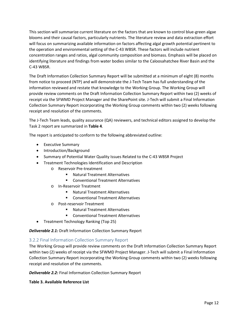This section will summarize current literature on the factors that are known to control blue-green algae blooms and their causal factors, particularly nutrients. The literature review and data extraction effort will focus on summarizing available information on factors affecting algal growth potential pertinent to the operation and environmental setting of the C-43 WBSR. These factors will include nutrient concentration ranges and ratios, algal community composition and biomass. Emphasis will be placed on identifying literature and findings from water bodies similar to the Caloosahatchee River Basin and the C-43 WBSR.

The Draft Information Collection Summary Report will be submitted at a minimum of eight (8) months from notice to proceed (NTP) and will demonstrate the J-Tech Team has full understanding of the information reviewed and restate that knowledge to the Working Group. The Working Group will provide review comments on the Draft Information Collection Summary Report within two (2) weeks of receipt via the SFWMD Project Manager and the SharePoint site. J-Tech will submit a Final Information Collection Summary Report incorporating the Working Group comments within two (2) weeks following receipt and resolution of the comments.

The J-Tech Team leads, quality assurance (QA) reviewers, and technical editors assigned to develop the Task 2 report are summarized in **[Table 4](#page-14-1)**.

The report is anticipated to conform to the following abbreviated outline:

- Executive Summary
- Introduction/Background
- Summary of Potential Water Quality Issues Related to the C-43 WBSR Project
- Treatment Technologies Identification and Description
	- o Reservoir Pre-treatment
		- Natural Treatment Alternatives
		- Conventional Treatment Alternatives
	- o In-Reservoir Treatment
		- Natural Treatment Alternatives
		- Conventional Treatment Alternatives
	- o Post-reservoir Treatment
		- Natural Treatment Alternatives
		- **EXECONCERTED CONVENTIONAL TREATMENT CONVENTION**
- Treatment Technology Ranking (Top 25)

*Deliverable 2.1:* Draft Information Collection Summary Report

#### <span id="page-12-0"></span>3.2.2 Final Information Collection Summary Report

The Working Group will provide review comments on the Draft Information Collection Summary Report within two (2) weeks of receipt via the SFWMD Project Manager. J-Tech will submit a Final Information Collection Summary Report incorporating the Working Group comments within two (2) weeks following receipt and resolution of the comments.

*Deliverable 2.2:* Final Information Collection Summary Report

<span id="page-12-1"></span>**Table 3. Available Reference List**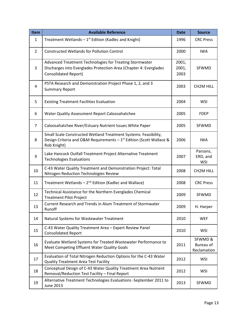| Item           | <b>Available Reference</b>                                                                                                                                | <b>Date</b>            | <b>Source</b>                      |
|----------------|-----------------------------------------------------------------------------------------------------------------------------------------------------------|------------------------|------------------------------------|
| $\mathbf{1}$   | Treatment Wetlands $-1$ <sup>st</sup> Edition (Kadlec and Knight)                                                                                         | 1996                   | <b>CRC Press</b>                   |
| $\overline{2}$ | <b>Constructed Wetlands for Pollution Control</b>                                                                                                         | 2000                   | <b>IWA</b>                         |
| 3              | Advanced Treatment Technologies for Treating Stormwater<br>Discharges into Everglades Protection Area (Chapter 4: Everglades<br>Consolidated Report)      | 2001,<br>2001,<br>2003 | SFWMD                              |
| 4              | PSTA Research and Demonstration Project Phase 1, 2, and 3<br><b>Summary Report</b>                                                                        | 2003                   | CH2M HILL                          |
| 5              | <b>Existing Treatment Facilities Evaluation</b>                                                                                                           | 2004                   | <b>WSI</b>                         |
| 6              | Water Quality Assessment Report Caloosahatchee                                                                                                            | 2005                   | <b>FDEP</b>                        |
| $\overline{7}$ | Caloosahatchee River/Estuary Nutrient Issues White Paper                                                                                                  | 2005                   | SFWMD                              |
| 8              | Small Scale Constructed Wetland Treatment Systems: Feasibility,<br>Design Criteria and O&M Requirements $-1^{st}$ Edition (Scott Wallace &<br>Rob Knight) | 2006                   | <b>IWA</b>                         |
| 9              | Lake Hancock Outfall Treatment Project Alternative Treatment<br><b>Technologies Evaluations</b>                                                           |                        | Parsons,<br>ERD, and<br><b>WSI</b> |
| 10             | C-43 Water Quality Treatment and Demonstration Project: Total<br>Nitrogen Reduction Technologies Review                                                   |                        | <b>CH2M HILL</b>                   |
| 11             | Treatment Wetlands $-2^{nd}$ Edition (Kadlec and Wallace)                                                                                                 | 2008                   | <b>CRC Press</b>                   |
| 12             | Technical Assistance for the Northern Everglades Chemical<br><b>Treatment Pilot Project</b>                                                               | 2009                   | SFWMD                              |
| 13             | Current Research and Trends in Alum Treatment of Stormwater<br>Runoff                                                                                     | 2009                   | H. Harper                          |
| 14             | Natural Systems for Wastewater Treatment                                                                                                                  | 2010                   | <b>WEF</b>                         |
| 15             | C-43 Water Quality Treatment Area - Expert Review Panel<br><b>Consolidated Report</b>                                                                     | 2010                   | <b>WSI</b>                         |
| 16             | Evaluate Wetland Systems for Treated Wastewater Performance to<br>Meet Competing Effluent Water Quality Goals                                             |                        | SFWMD&<br>Bureau of<br>Reclamation |
| 17             | Evaluation of Total Nitrogen Reduction Options for the C-43 Water<br><b>Quality Treatment Area Test Facility</b>                                          |                        | <b>WSI</b>                         |
| 18             | Conceptual Design of C-43 Water Quality Treatment Area Nutrient<br>Removal/Reduction Test Facility - Final Report                                         |                        | WSI                                |
| 19             | Alternative Treatment Technologies Evaluations -September 2011 to<br>June 2013                                                                            | 2013                   | SFWMD                              |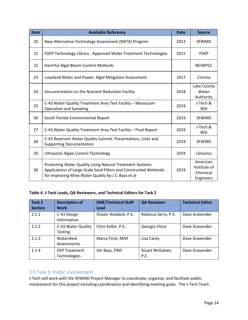| <b>Item</b> | <b>Available Reference</b>                                                                                                                                                            | <b>Date</b> | <b>Source</b>                                     |
|-------------|---------------------------------------------------------------------------------------------------------------------------------------------------------------------------------------|-------------|---------------------------------------------------|
| 20          | New Alternative Technology Assessment (NATA) Program                                                                                                                                  | 2013        | <b>SFWMD</b>                                      |
| 21          | FDEP Technology Library - Approved Water Treatment Technologies                                                                                                                       | 2015        | <b>FDEP</b>                                       |
| 22          | Harmful Algal Bloom Control Methods                                                                                                                                                   |             | <b>NEIWPCC</b>                                    |
| 23          | Loveland Water and Power: Algal Mitigation Assessment                                                                                                                                 | 2017        | Corona                                            |
| 24          | Documentation on the Nutrient Reduction Facility                                                                                                                                      | 2018        | Lake County<br>Water<br>Authority                 |
| 25          | C-43 Water Quality Treatment Area Test Facility - Mesocosm<br><b>Operation and Sampling</b>                                                                                           | 2019        | J-Tech &<br><b>WSI</b>                            |
| 26          | South Florida Environmental Report                                                                                                                                                    |             | <b>SFWMD</b>                                      |
| 27          | C-43 Water Quality Treatment Area Test Facility - Final Report<br>C-43 Reservoir Water Quality Summit: Presentations, Links and<br><b>Supporting Documentation</b>                    |             | J-Tech &<br><b>WSI</b>                            |
| 28          |                                                                                                                                                                                       |             | SFWMD                                             |
| 29          | Ultrasonic Algae Control Technology                                                                                                                                                   | 2019        | LGSonics                                          |
| 30          | Protecting Water Quality Using Natural Treatment Systems:<br>Applications of Large-Scale Sand Filters and Constructed Wetlands<br>for Improving Mine Water Quality by J.S. Bays et al |             | American<br>Institute of<br>Chemical<br>Engineers |

#### <span id="page-14-1"></span>**Table 4. J-Tech Leads, QA Reviewers, and Technical Editors for Task 2**

| Task 2<br><b>Section</b> | <b>Description of</b><br><b>Work</b> | <b>SME/Technical Staff</b><br>Lead | <b>QA Reviewer</b>      | <b>Technical Editor</b> |
|--------------------------|--------------------------------------|------------------------------------|-------------------------|-------------------------|
| 2.1.1                    | C-43 Design<br>Information           | Shawn Waldeck, P.E.                | Rebecca Serra, P.E.     | Dave Gravender          |
| 2.1.2                    | C-43 Water Quality<br>Testing        | Chris Keller, P.E.                 | Georgia Vince           | Dave Gravender          |
| 2.1.3                    | Watershed<br>Assessments             | Marcy Frick, REM                   | Lisa Canty              | Dave Gravender          |
| 2.1.4                    | <b>DEP Treatment</b><br>Technologies | Jim Bays, PWS                      | Stuart McGahee,<br>P.E. | Dave Gravender          |

#### <span id="page-14-0"></span>3.3 Task 3. Public Involvement

J-Tech will work with the SFWMD Project Manager to coordinate, organize, and facilitate public involvement for this project including coordination and identifying meeting goals. The J-Tech Team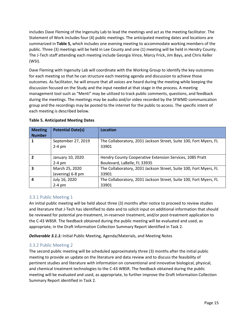includes Dave Fleming of the Ingenuity Lab to lead the meetings and act as the meeting facilitator. The Statement of Work includes four (4) public meetings. The anticipated meeting dates and locations are summarized in **[Table 5,](#page-15-2)** which includes one evening meeting to accommodate working members of the public. Three (3) meetings will be held in Lee County and one (1) meeting will be held in Hendry County. The J-Tech staff attending each meeting include Georgia Vince, Marcy Frick, Jim Bays, and Chris Keller (WSI).

Dave Fleming with Ingenuity Lab will coordinate with the Working Group to identify the key outcomes for each meeting so that he can structure each meeting agenda and discussion to achieve those outcomes. As facilitator, he will ensure that all voices are heard during the meeting while keeping the discussion focused on the Study and the input needed at that stage in the process. A meeting management tool such as "Menti" may be utilized to track public comments, questions, and feedback during the meetings. The meetings may be audio and/or video recorded by the SFWMD communication group and the recordings may be posted to the internet for the public to access. The specific intent of each meeting is described below.

| <b>Meeting</b><br><b>Number</b> | <b>Potential Date(s)</b> | Location                                                          |  |  |
|---------------------------------|--------------------------|-------------------------------------------------------------------|--|--|
|                                 | September 27, 2019       | The Collaboratory, 2031 Jackson Street, Suite 100, Fort Myers, FL |  |  |
|                                 | $2-4$ pm                 | 33901                                                             |  |  |
| 2                               | January 10, 2020         | Hendry County Cooperative Extension Services, 1085 Pratt          |  |  |
|                                 | $2-4$ pm                 | Boulevard, LaBelle, FL 33935                                      |  |  |
| 3                               | March 25, 2020           | The Collaboratory, 2031 Jackson Street, Suite 100, Fort Myers, FL |  |  |
|                                 | (evening) 6-8 pm         | 33901                                                             |  |  |
| 4                               | July 16, 2020            | The Collaboratory, 2031 Jackson Street, Suite 100, Fort Myers, FL |  |  |
|                                 | $2-4$ pm                 | 33901                                                             |  |  |

#### <span id="page-15-2"></span>**Table 5. Anticipated Meeting Dates**

#### <span id="page-15-0"></span>3.3.1 Public Meeting 1

An initial public meeting will be held about three (3) months after notice to proceed to review studies and literature that J-Tech has identified to date and to solicit input on additional information that should be reviewed for potential pre-treatment, in-reservoir treatment, and/or post-treatment application to the C-43 WBSR. The feedback obtained during the public meeting will be evaluated and used, as appropriate, in the Draft Information Collection Summary Report identified in Task 2.

*Deliverable 3.1.1:* Initial Public Meeting, Agenda/Materials, and Meeting Notes

#### <span id="page-15-1"></span>3.3.2 Public Meeting 2

The second public meeting will be scheduled approximately three (3) months after the initial public meeting to provide an update on the literature and data review and to discuss the feasibility of pertinent studies and literature with information on conventional and innovative biological, physical, and chemical treatment technologies to the C-43 WBSR. The feedback obtained during the public meeting will be evaluated and used, as appropriate, to further improve the Draft Information Collection Summary Report identified in Task 2.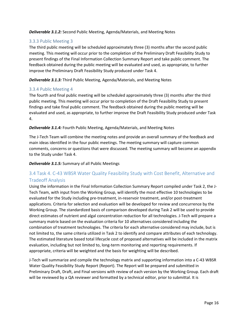*Deliverable 3.1.2:* Second Public Meeting, Agenda/Materials, and Meeting Notes

#### <span id="page-16-0"></span>3.3.3 Public Meeting 3

The third public meeting will be scheduled approximately three (3) months after the second public meeting. This meeting will occur prior to the completion of the Preliminary Draft Feasibility Study to present findings of the Final Information Collection Summary Report and take public comment. The feedback obtained during the public meeting will be evaluated and used, as appropriate, to further improve the Preliminary Draft Feasibility Study produced under Task 4.

*Deliverable 3.1.3:* Third Public Meeting, Agenda/Materials, and Meeting Notes

#### <span id="page-16-1"></span>3.3.4 Public Meeting 4

The fourth and final public meeting will be scheduled approximately three (3) months after the third public meeting. This meeting will occur prior to completion of the Draft Feasibility Study to present findings and take final public comment. The feedback obtained during the public meeting will be evaluated and used, as appropriate, to further improve the Draft Feasibility Study produced under Task 4.

#### *Deliverable 3.1.4:* Fourth Public Meeting, Agenda/Materials, and Meeting Notes

The J-Tech Team will combine the meeting notes and provide an overall summary of the feedback and main ideas identified in the four public meetings. The meeting summary will capture common comments, concerns or questions that were discussed. The meeting summary will become an appendix to the Study under Task 4.

*Deliverable 3.1.5:* Summary of all Public Meetings

#### <span id="page-16-2"></span>3.4 Task 4. C-43 WBSR Water Quality Feasibility Study with Cost Benefit, Alternative and Tradeoff Analysis

Using the information in the Final Information Collection Summary Report compiled under Task 2, the J-Tech Team, with input from the Working Group, will identify the most effective 10 technologies to be evaluated for the Study including pre-treatment, in-reservoir treatment, and/or post-treatment applications. Criteria for selection and evaluation will be developed for review and concurrence by the Working Group. The standardized basis of comparison developed during Task 2 will be used to provide direct estimates of nutrient and algal concentration reduction for all technologies. J-Tech will prepare a summary matrix based on the evaluation criteria for 10 alternatives considered including the combination of treatment technologies. The criteria for each alternative considered may include, but is not limited to, the same criteria utilized in Task 2 to identify and compare attributes of each technology. The estimated literature based total lifecycle cost of proposed alternatives will be included in the matrix evaluation, including but not limited to, long-term monitoring and reporting requirements. If appropriate, criteria will be weighted and the basis for weighting will be described.

J-Tech will summarize and compile the technology matrix and supporting information into a C-43 WBSR Water Quality Feasibility Study Report (Report). The Report will be prepared and submitted in Preliminary Draft, Draft, and Final versions with review of each version by the Working Group. Each draft will be reviewed by a QA reviewer and formatted by a technical editor, prior to submittal. It is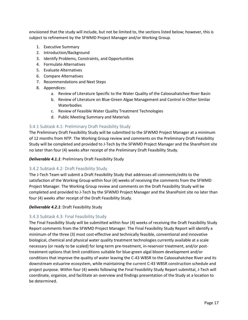envisioned that the study will include, but not be limited to, the sections listed below; however, this is subject to refinement by the SFWMD Project Manager and/or Working Group.

- 1. Executive Summary
- 2. Introduction/Background
- 3. Identify Problems, Constraints, and Opportunities
- 4. Formulate Alternatives
- 5. Evaluate Alternatives
- 6. Compare Alternatives
- 7. Recommendations and Next Steps
- 8. Appendices:
	- a. Review of Literature Specific to the Water Quality of the Caloosahatchee River Basin
	- b. Review of Literature on Blue-Green Algae Management and Control in Other Similar **Waterbodies**
	- c. Review of Feasible Water Quality Treatment Technologies
	- d. Public Meeting Summary and Materials

#### <span id="page-17-0"></span>3.4.1 Subtask 4.1: Preliminary Draft Feasibility Study

The Preliminary Draft Feasibility Study will be submitted to the SFWMD Project Manager at a minimum of 12 months from NTP. The Working Group review and comments on the Preliminary Draft Feasibility Study will be completed and provided to J-Tech by the SFWMD Project Manager and the SharePoint site no later than four (4) weeks after receipt of the Preliminary Draft Feasibility Study.

*Deliverable 4.1.1*: Preliminary Draft Feasibility Study

#### <span id="page-17-1"></span>3.4.2 Subtask 4.2: Draft Feasibility Study

The J-Tech Team will submit a Draft Feasibility Study that addresses all comments/edits to the satisfaction of the Working Group within four (4) weeks of receiving the comments from the SFWMD Project Manager. The Working Group review and comments on the Draft Feasibility Study will be completed and provided to J-Tech by the SFWMD Project Manager and the SharePoint site no later than four (4) weeks after receipt of the Draft Feasibility Study.

#### *Deliverable 4.2.1*: Draft Feasibility Study

#### <span id="page-17-2"></span>3.4.3 Subtask 4.3: Final Feasibility Study

The Final Feasibility Study will be submitted within four (4) weeks of receiving the Draft Feasibility Study Report comments from the SFWMD Project Manager. The Final Feasibility Study Report will identify a minimum of the three (3) most cost-effective and technically feasible, conventional and innovative biological, chemical and physical water quality treatment technologies currently available at a scale necessary (or ready to be scaled) for long-term pre-treatment, in-reservoir treatment, and/or posttreatment options that limit conditions suitable for blue-green algal bloom development and/or conditions that improve the quality of water leaving the C-43 WBSR to the Caloosahatchee River and its downstream estuarine ecosystem, while maintaining the current C-43 WBSR construction schedule and project purpose. Within four (4) weeks following the Final Feasibility Study Report submittal, J-Tech will coordinate, organize, and facilitate an overview and findings presentation of the Study at a location to be determined.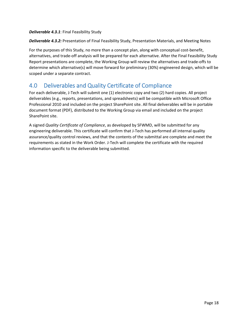#### *Deliverable 4.3.1*: Final Feasibility Study

*Deliverable 4.3.2:* Presentation of Final Feasibility Study, Presentation Materials, and Meeting Notes

For the purposes of this Study, no more than a concept plan, along with conceptual cost-benefit, alternatives, and trade-off analysis will be prepared for each alternative. After the Final Feasibility Study Report presentations are complete, the Working Group will review the alternatives and trade-offs to determine which alternative(s) will move forward for preliminary (30%) engineered design, which will be scoped under a separate contract.

## <span id="page-18-0"></span>4.0 Deliverables and Quality Certificate of Compliance

For each deliverable, J-Tech will submit one (1) electronic copy and two (2) hard copies. All project deliverables (e.g., reports, presentations, and spreadsheets) will be compatible with Microsoft Office Professional 2010 and included on the project SharePoint site. All final deliverables will be in portable document format (PDF), distributed to the Working Group via email and included on the project SharePoint site.

A signed *Quality Certificate of Compliance*, as developed by SFWMD, will be submitted for any engineering deliverable. This certificate will confirm that J-Tech has performed all internal quality assurance/quality control reviews, and that the contents of the submittal are complete and meet the requirements as stated in the Work Order. J-Tech will complete the certificate with the required information specific to the deliverable being submitted.